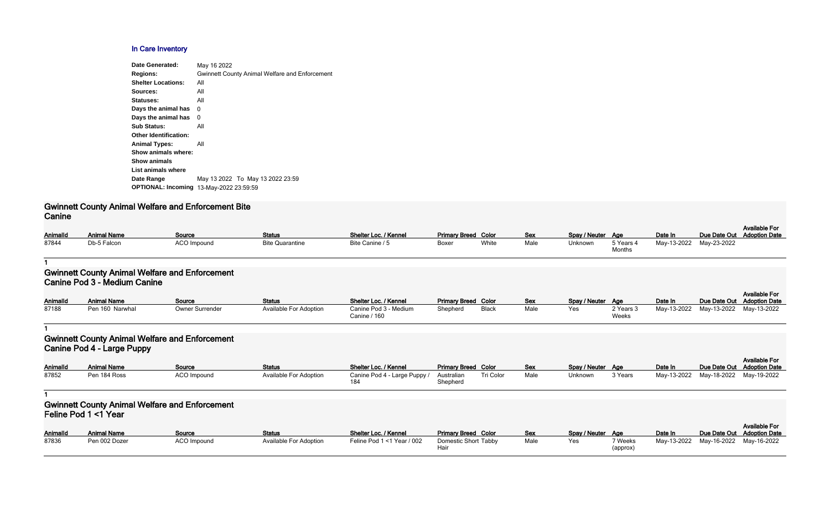#### **In Care Inventory**

| May 16 2022                                           |
|-------------------------------------------------------|
| <b>Gwinnett County Animal Welfare and Enforcement</b> |
| All                                                   |
| All                                                   |
| All                                                   |
| 0                                                     |
| 0                                                     |
| All                                                   |
|                                                       |
| All                                                   |
| Show animals where:                                   |
|                                                       |
|                                                       |
| May 13 2022 To May 13 2022 23:59                      |
| <b>OPTIONAL: Incoming</b><br>13-May-2022 23:59:59     |
|                                                       |

# **Gwinnett County Animal Welfare and Enforcement Bite Canine**

| AnimalId | <b>Animal Name</b> | Source             | <b>Status</b>          | Shelter Loc. / Kennel | <b>Primary Breed Color</b> |       | <b>Sex</b> | Spay / Neuter Age |           | Date In     | Due Date Out |
|----------|--------------------|--------------------|------------------------|-----------------------|----------------------------|-------|------------|-------------------|-----------|-------------|--------------|
| 87844    | Db-5 Falcon        | <b>ACO Impound</b> | <b>Bite Quarantine</b> | Bite Canine / 5       | Boxer                      | White | Male       | Unknown           | 5 Years 4 | May-13-2022 | May-23-2022  |
|          |                    |                    |                        |                       |                            |       |            |                   | $M$ antha |             |              |

| Spay / Neuter | Age                 | Date In     |             | Available For<br>Due Date Out Adoption Date |
|---------------|---------------------|-------------|-------------|---------------------------------------------|
| Unknown       | 5 Years 4<br>Months | Mav-13-2022 | May-23-2022 |                                             |

#### **1**

#### **Gwinnett County Animal Welfare and Enforcement Canine Pod 3 - Medium Canine**

| <b>AnimalId</b> | <b>Animal Name</b> | Source                 | Status                        | Shelter Loc. / Kennel                 | <b>Primary Breed Color</b> |       | <b>Sex</b> | Spay / Neuter Age |                    | Date In     | Due Date Out |
|-----------------|--------------------|------------------------|-------------------------------|---------------------------------------|----------------------------|-------|------------|-------------------|--------------------|-------------|--------------|
| 87188           | Pen 160 Narwhal    | <b>Owner Surrender</b> | <b>Available For Adoption</b> | Canine Pod 3 - Medium<br>Canine / 160 | Shepherd                   | Black | Male       | Yes               | 2 Years 3<br>Weeks | May-13-2022 | May-13-2022  |

#### **1**

# **Gwinnett County Animal Welfare and Enforcement Canine Pod 4 - Large Puppy**

| Color        | <b>Sex</b> | Spay / Neuter | Age                       | Date In     | Due Date Out | <b>Available For</b><br><b>Adoption Date</b> |
|--------------|------------|---------------|---------------------------|-------------|--------------|----------------------------------------------|
| <b>Black</b> | Male       | Yes           | 2 Years 3<br><b>Weeks</b> | May-13-2022 | May-13-2022  | May-13-2022                                  |
|              |            |               |                           |             |              |                                              |
|              |            |               |                           |             |              | <b>Available For</b>                         |
| Color        | <b>Sex</b> | Spay / Neuter | Age                       | Date In     | Due Date Out | <b>Adoption Date</b>                         |
| Tri Color    | Male       | Unknown       | 3 Years                   | May-13-2022 | May-18-2022  | May-19-2022                                  |

| <b>AnimalId</b> | <b>Animal Name</b> | Source             | <b>Status</b>          | Shelter Loc. / Kennel        | <b>Primary Breed Color</b> |           | <b>Sex</b> | Spay / Neuter Age |         | Date In     | Due Date Out |
|-----------------|--------------------|--------------------|------------------------|------------------------------|----------------------------|-----------|------------|-------------------|---------|-------------|--------------|
| 87852           | Pen 184 Ross       | <b>ACO Impound</b> | Available For Adoption | Canine Pod 4 - Large Puppy / | Australian<br>Shepherd     | Tri Color | Male       | Unknown           | 3 Years | May-13-2022 | May-18-2022  |

**1**

# **Gwinnett County Animal Welfare and Enforcement Feline Pod 1 <1 Year**

| <b>AnimalId</b> | <b>Animal Name</b> | <b>Source</b> | <b>Status</b>          | Shelter Loc. / Kennel      | <b>Primary Breed Color</b>  | <u>Sex</u> | Spay / Neuter Age |                    | Date In     | Due Date Out |
|-----------------|--------------------|---------------|------------------------|----------------------------|-----------------------------|------------|-------------------|--------------------|-------------|--------------|
| 87836           | Pen 002 Dozer      | ACO Impound   | Available For Adoption | Feline Pod 1 <1 Year / 002 | <b>Domestic Short Tabby</b> | Male       | Yes               | <sup>7</sup> Weeks | May-13-2022 | May-16-2022  |
|                 |                    |               |                        |                            | Hair                        |            |                   | (approx)           |             |              |

| Color | <b>Sex</b> | Spay / Neuter | Age                 | Date In     | Due Date Out | <b>Available For</b><br><b>Adoption Date</b> |
|-------|------------|---------------|---------------------|-------------|--------------|----------------------------------------------|
| Tabbv | Male       | Yes           | 7 Weeks<br>(approx) | May-13-2022 | Mav-16-2022  | Mav-16-2022                                  |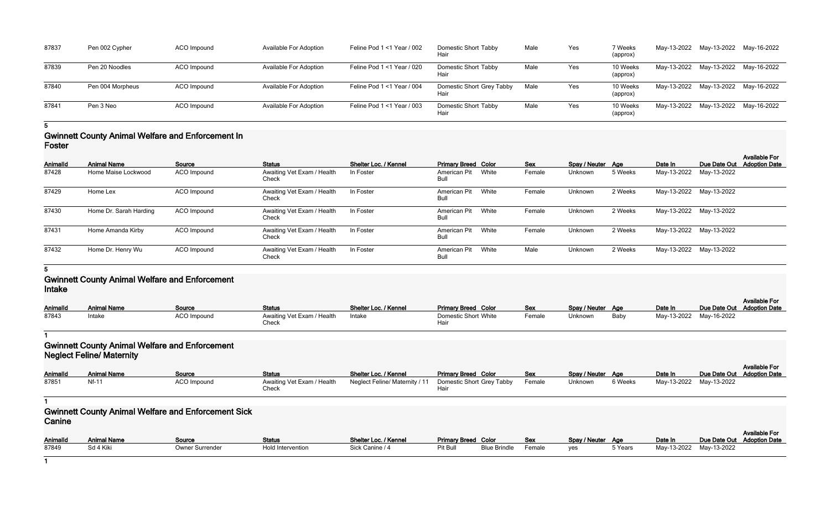| 87837 | Pen 002 Cypher   | ACO Impound | <b>Available For Adoption</b> | Feline Pod $1 < 1$ Year / 002 | Domestic Short Tabby<br>Hair      | Male |
|-------|------------------|-------------|-------------------------------|-------------------------------|-----------------------------------|------|
| 87839 | Pen 20 Noodles   | ACO Impound | <b>Available For Adoption</b> | Feline Pod $1 < 1$ Year / 020 | Domestic Short Tabby<br>Hair      | Male |
| 87840 | Pen 004 Morpheus | ACO Impound | <b>Available For Adoption</b> | Feline Pod 1 < 1 Year / 004   | Domestic Short Grey Tabby<br>Hair | Male |
| 87841 | Pen 3 Neo        | ACO Impound | <b>Available For Adoption</b> | Feline Pod $1 < 1$ Year / 003 | Domestic Short Tabby<br>Hair      | Male |

| Tabby      | Male | Yes | 7 Weeks<br>(approx)  | May-13-2022 | May-13-2022 | May-16-2022 |
|------------|------|-----|----------------------|-------------|-------------|-------------|
| Tabby      | Male | Yes | 10 Weeks<br>(approx) | May-13-2022 | May-13-2022 | May-16-2022 |
| Grey Tabby | Male | Yes | 10 Weeks<br>(approx) | May-13-2022 | May-13-2022 | May-16-2022 |
| Tabby      | Male | Yes | 10 Weeks<br>(approx) | May-13-2022 | May-13-2022 | May-16-2022 |

#### **5**

### **Gwinnett County Animal Welfare and Enforcement In Foster**

| <b>AnimalId</b> | <b>Animal Name</b>     | Source             | <b>Status</b>                       | Shelter Loc. / Kennel | <b>Primary Breed Color</b> |       | <b>Sex</b> | Spay / Neuter Age |         | Date In                 | Due Date Out            | <b>Available For</b><br><b>Adoption Date</b> |
|-----------------|------------------------|--------------------|-------------------------------------|-----------------------|----------------------------|-------|------------|-------------------|---------|-------------------------|-------------------------|----------------------------------------------|
| 87428           | Home Maise Lockwood    | ACO Impound        | Awaiting Vet Exam / Health<br>Check | In Foster             | American Pit<br>Bull       | White | Female     | Unknown           | 5 Weeks | May-13-2022 May-13-2022 |                         |                                              |
| 87429           | Home Lex               | ACO Impound        | Awaiting Vet Exam / Health<br>Check | In Foster             | American Pit<br>Bull       | White | Female     | Unknown           | 2 Weeks |                         | May-13-2022 May-13-2022 |                                              |
| 87430           | Home Dr. Sarah Harding | <b>ACO Impound</b> | Awaiting Vet Exam / Health<br>Check | In Foster             | American Pit<br>Bull       | White | Female     | Unknown           | 2 Weeks |                         | May-13-2022 May-13-2022 |                                              |
| 87431           | Home Amanda Kirby      | ACO Impound        | Awaiting Vet Exam / Health<br>Check | In Foster             | American Pit<br>Bull       | White | Female     | Unknown           | 2 Weeks | May-13-2022 May-13-2022 |                         |                                              |
| 87432           | Home Dr. Henry Wu      | ACO Impound        | Awaiting Vet Exam / Health<br>Check | In Foster             | American Pit<br>Bull       | White | Male       | Unknown           | 2 Weeks |                         | May-13-2022 May-13-2022 |                                              |

#### **5**

## **Gwinnett County Animal Welfare and Enforcement Intake**

| <b>AnimalId</b> | <b>Animal Name</b> | Source             | <b>Status</b>                              | Shelter Loc. / Kennel | <b>Primary Breed Color</b>   | <b>Sex</b> | Spay / Neuter Age |      | Date In                 | Due Date Out Adoption Date | <b>Available For</b> |
|-----------------|--------------------|--------------------|--------------------------------------------|-----------------------|------------------------------|------------|-------------------|------|-------------------------|----------------------------|----------------------|
| 87843           | Intake             | <b>ACO Impound</b> | Awaiting Vet Exam / Health<br><b>Check</b> | Intake                | Domestic Short White<br>Hair | Female     | Unknown           | Baby | May-13-2022 May-16-2022 |                            |                      |

#### **1**

## **Gwinnett County Animal Welfare and Enforcement Neglect Feline/ Maternity**

| Animalld | <b>Animal Name</b> | Source             | <b>Status</b>                       | Shelter Loc. / Kennel                                     | <b>Primary Breed Color</b> | <b>Sex</b> | Spay / Neuter Age |         | Date In                 | <b>Available For</b><br>Due Date Out Adoption Date |
|----------|--------------------|--------------------|-------------------------------------|-----------------------------------------------------------|----------------------------|------------|-------------------|---------|-------------------------|----------------------------------------------------|
| 87851    | <b>Nf-11</b>       | <b>ACO Impound</b> | Awaiting Vet Exam / Health<br>Check | Neglect Feline/ Maternity / 11  Domestic Short Grey Tabby |                            | Female     | Unknown           | 6 Weeks | May-13-2022 May-13-2022 |                                                    |

**1**

#### **Gwinnett County Animal Welfare and Enforcement Sick Canine**

|               |         |                         | Available For              |
|---------------|---------|-------------------------|----------------------------|
| Spay / Neuter | Age     | Date In                 | Due Date Out Adoption Date |
| ves           | 5 Years | May-13-2022 May-13-2022 |                            |

| <b>AnimalId</b> | Animal Name | Source          | <b>Status</b>     | Shelter Loc. / Kennel | <b>Primary Breed Color</b> |                     | <b>Sex</b> | Spay / Neuter Age |         | Date In                 | Due Date Out |
|-----------------|-------------|-----------------|-------------------|-----------------------|----------------------------|---------------------|------------|-------------------|---------|-------------------------|--------------|
| 87849           | Sd 4 Kiki   | Owner Surrender | Hold Intervention | Sick Canine / 4       | Pit Bull                   | <b>Blue Brindle</b> | Female     | yes               | 5 Years | May-13-2022 May-13-2022 |              |